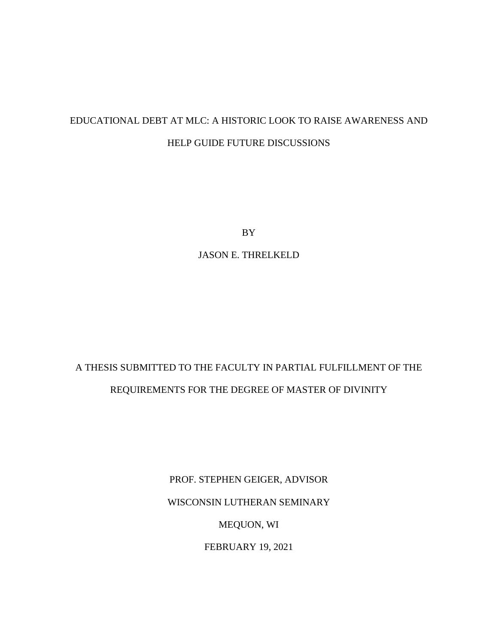# EDUCATIONAL DEBT AT MLC: A HISTORIC LOOK TO RAISE AWARENESS AND HELP GUIDE FUTURE DISCUSSIONS

BY

JASON E. THRELKELD

# A THESIS SUBMITTED TO THE FACULTY IN PARTIAL FULFILLMENT OF THE REQUIREMENTS FOR THE DEGREE OF MASTER OF DIVINITY

PROF. STEPHEN GEIGER, ADVISOR

WISCONSIN LUTHERAN SEMINARY

MEQUON, WI

FEBRUARY 19, 2021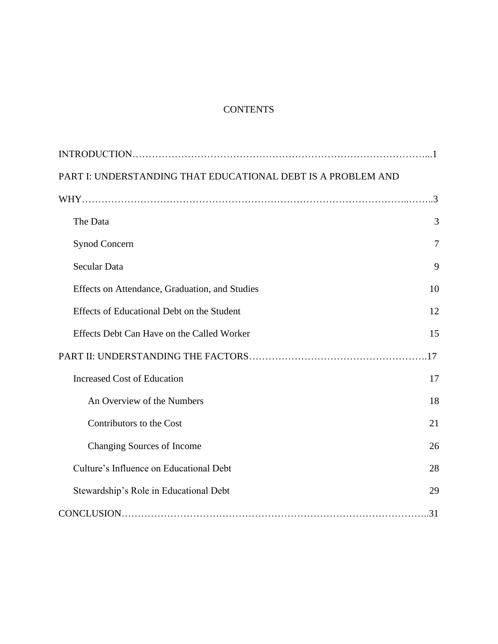# **CONTENTS**

| PART I: UNDERSTANDING THAT EDUCATIONAL DEBT IS A PROBLEM AND |                |
|--------------------------------------------------------------|----------------|
|                                                              |                |
| The Data                                                     | 3              |
| <b>Synod Concern</b>                                         | $\overline{7}$ |
| Secular Data                                                 | 9              |
| Effects on Attendance, Graduation, and Studies               | 10             |
| Effects of Educational Debt on the Student                   | 12             |
| Effects Debt Can Have on the Called Worker                   | 15             |
|                                                              |                |
| <b>Increased Cost of Education</b>                           | 17             |
| An Overview of the Numbers                                   | 18             |
| Contributors to the Cost                                     | 21             |
| Changing Sources of Income                                   | 26             |
| Culture's Influence on Educational Debt                      | 28             |
| Stewardship's Role in Educational Debt                       | 29             |
|                                                              | .31            |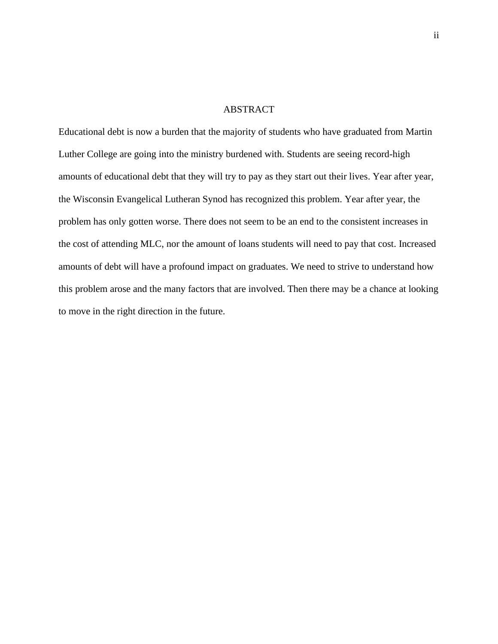# ABSTRACT

Educational debt is now a burden that the majority of students who have graduated from Martin Luther College are going into the ministry burdened with. Students are seeing record-high amounts of educational debt that they will try to pay as they start out their lives. Year after year, the Wisconsin Evangelical Lutheran Synod has recognized this problem. Year after year, the problem has only gotten worse. There does not seem to be an end to the consistent increases in the cost of attending MLC, nor the amount of loans students will need to pay that cost. Increased amounts of debt will have a profound impact on graduates. We need to strive to understand how this problem arose and the many factors that are involved. Then there may be a chance at looking to move in the right direction in the future.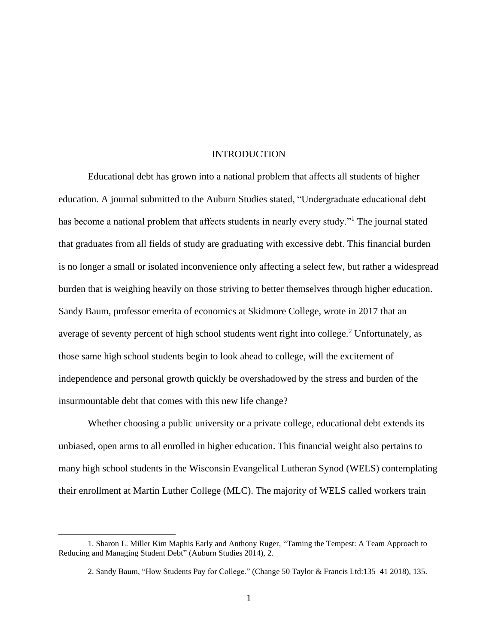### INTRODUCTION

Educational debt has grown into a national problem that affects all students of higher education. A journal submitted to the Auburn Studies stated, "Undergraduate educational debt has become a national problem that affects students in nearly every study."<sup>1</sup> The journal stated that graduates from all fields of study are graduating with excessive debt. This financial burden is no longer a small or isolated inconvenience only affecting a select few, but rather a widespread burden that is weighing heavily on those striving to better themselves through higher education. Sandy Baum, professor emerita of economics at Skidmore College, wrote in 2017 that an average of seventy percent of high school students went right into college.<sup>2</sup> Unfortunately, as those same high school students begin to look ahead to college, will the excitement of independence and personal growth quickly be overshadowed by the stress and burden of the insurmountable debt that comes with this new life change?

Whether choosing a public university or a private college, educational debt extends its unbiased, open arms to all enrolled in higher education. This financial weight also pertains to many high school students in the Wisconsin Evangelical Lutheran Synod (WELS) contemplating their enrollment at Martin Luther College (MLC). The majority of WELS called workers train

<sup>1.</sup> Sharon L. Miller Kim Maphis Early and Anthony Ruger, "Taming the Tempest: A Team Approach to Reducing and Managing Student Debt" (Auburn Studies 2014), 2.

<sup>2.</sup> Sandy Baum, "How Students Pay for College." (Change 50 Taylor & Francis Ltd:135–41 2018), 135.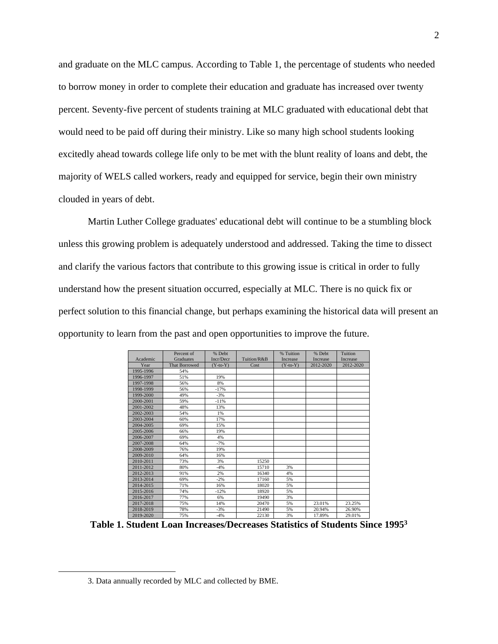and graduate on the MLC campus. According to Table 1, the percentage of students who needed to borrow money in order to complete their education and graduate has increased over twenty percent. Seventy-five percent of students training at MLC graduated with educational debt that would need to be paid off during their ministry. Like so many high school students looking excitedly ahead towards college life only to be met with the blunt reality of loans and debt, the majority of WELS called workers, ready and equipped for service, begin their own ministry clouded in years of debt.

Martin Luther College graduates' educational debt will continue to be a stumbling block unless this growing problem is adequately understood and addressed. Taking the time to dissect and clarify the various factors that contribute to this growing issue is critical in order to fully understand how the present situation occurred, especially at MLC. There is no quick fix or perfect solution to this financial change, but perhaps examining the historical data will present an opportunity to learn from the past and open opportunities to improve the future.

| Academic  | Percent of<br><b>Graduates</b> | % Debt<br>Incr/Decr | Tuition/R&B | % Tuition<br>Increase | % Debt<br>Increase | Tuition<br>Increase |
|-----------|--------------------------------|---------------------|-------------|-----------------------|--------------------|---------------------|
| Year      | <b>That Borrowed</b>           | $(Y-to-Y)$          | Cost        | $(Y-to-Y)$            | 2012-2020          | 2012-2020           |
| 1995-1996 | 54%                            |                     |             |                       |                    |                     |
| 1996-1997 | 51%                            | 19%                 |             |                       |                    |                     |
| 1997-1998 | 56%                            | 8%                  |             |                       |                    |                     |
| 1998-1999 | 56%                            | $-17%$              |             |                       |                    |                     |
| 1999-2000 | 49%                            | $-3%$               |             |                       |                    |                     |
| 2000-2001 | 59%                            | $-11%$              |             |                       |                    |                     |
| 2001-2002 | 48%                            | 13%                 |             |                       |                    |                     |
| 2002-2003 | 54%                            | 1%                  |             |                       |                    |                     |
| 2003-2004 | 60%                            | 17%                 |             |                       |                    |                     |
| 2004-2005 | 69%                            | 15%                 |             |                       |                    |                     |
| 2005-2006 | 66%                            | 19%                 |             |                       |                    |                     |
| 2006-2007 | 69%                            | 4%                  |             |                       |                    |                     |
| 2007-2008 | 64%                            | $-7%$               |             |                       |                    |                     |
| 2008-2009 | 76%                            | 19%                 |             |                       |                    |                     |
| 2009-2010 | 64%                            | 16%                 |             |                       |                    |                     |
| 2010-2011 | 73%                            | 3%                  | 15250       |                       |                    |                     |
| 2011-2012 | 80%                            | $-4%$               | 15710       | 3%                    |                    |                     |
| 2012-2013 | 91%                            | 2%                  | 16340       | 4%                    |                    |                     |
| 2013-2014 | 69%                            | $-2%$               | 17160       | 5%                    |                    |                     |
| 2014-2015 | 71%                            | 16%                 | 18020       | 5%                    |                    |                     |
| 2015-2016 | 74%                            | $-12%$              | 18920       | 5%                    |                    |                     |
| 2016-2017 | 77%                            | 6%                  | 19490       | 3%                    |                    |                     |
| 2017-2018 | 75%                            | 14%                 | 20470       | 5%                    | 23.01%             | 23.25%              |
| 2018-2019 | 78%                            | $-3%$               | 21490       | 5%                    | 20.94%             | 26.90%              |
| 2019-2020 | 75%                            | $-4%$               | 22130       | 3%                    | 17.89%             | 29.01%              |

**Table 1. Student Loan Increases/Decreases Statistics of Students Since 1995<sup>3</sup>**

<sup>3.</sup> Data annually recorded by MLC and collected by BME.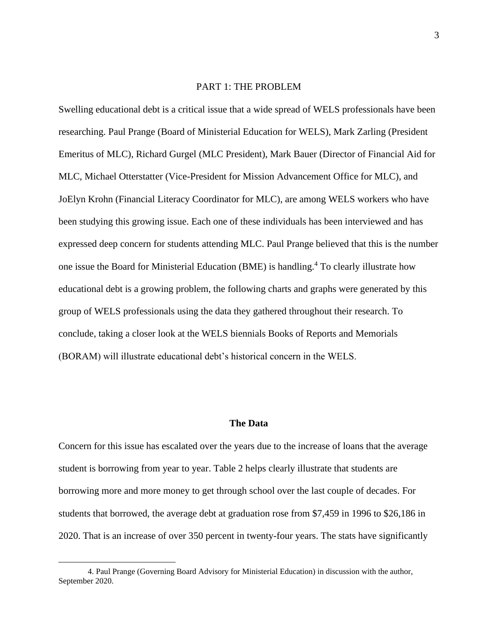# PART 1: THE PROBLEM

Swelling educational debt is a critical issue that a wide spread of WELS professionals have been researching. Paul Prange (Board of Ministerial Education for WELS), Mark Zarling (President Emeritus of MLC), Richard Gurgel (MLC President), Mark Bauer (Director of Financial Aid for MLC, Michael Otterstatter (Vice-President for Mission Advancement Office for MLC), and JoElyn Krohn (Financial Literacy Coordinator for MLC), are among WELS workers who have been studying this growing issue. Each one of these individuals has been interviewed and has expressed deep concern for students attending MLC. Paul Prange believed that this is the number one issue the Board for Ministerial Education (BME) is handling.<sup>4</sup> To clearly illustrate how educational debt is a growing problem, the following charts and graphs were generated by this group of WELS professionals using the data they gathered throughout their research. To conclude, taking a closer look at the WELS biennials Books of Reports and Memorials (BORAM) will illustrate educational debt's historical concern in the WELS.

#### **The Data**

Concern for this issue has escalated over the years due to the increase of loans that the average student is borrowing from year to year. Table 2 helps clearly illustrate that students are borrowing more and more money to get through school over the last couple of decades. For students that borrowed, the average debt at graduation rose from \$7,459 in 1996 to \$26,186 in 2020. That is an increase of over 350 percent in twenty-four years. The stats have significantly

<sup>4.</sup> Paul Prange (Governing Board Advisory for Ministerial Education) in discussion with the author, September 2020.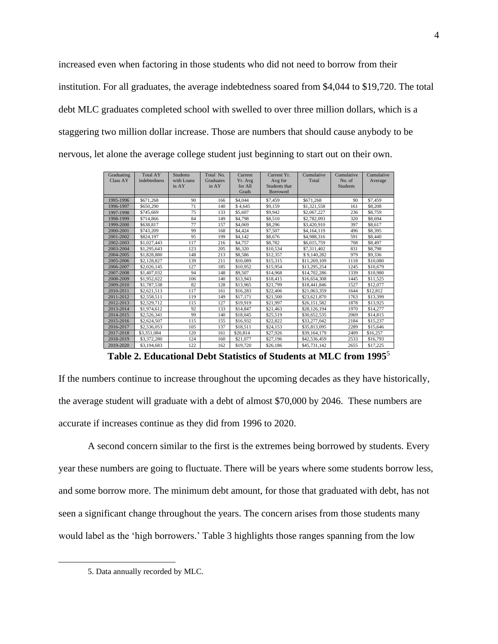increased even when factoring in those students who did not need to borrow from their institution. For all graduates, the average indebtedness soared from \$4,044 to \$19,720. The total debt MLC graduates completed school with swelled to over three million dollars, which is a staggering two million dollar increase. Those are numbers that should cause anybody to be nervous, let alone the average college student just beginning to start out on their own.

| Graduating      | <b>Total AY</b> | <b>Students</b> | Total No. | Current  | Current Yr.   | Cumulative   | Cumulative      | Cumulative |
|-----------------|-----------------|-----------------|-----------|----------|---------------|--------------|-----------------|------------|
| <b>Class AY</b> | indebtedness    | with Loans      | Graduates | Yr. Avg  | Avg for       | Total        | No. of          | Average    |
|                 |                 | in AY           | in AY     | for All  | Students that |              | <b>Students</b> |            |
|                 |                 |                 |           | Grads    | Borrowed      |              |                 |            |
| 1995-1996       | \$671,268       | 90              | 166       | \$4,044  | \$7.459       | \$671.268    | 90              | \$7,459    |
| 1996-1997       | \$650,290       | 71              | 140       | \$4,645  | \$9.159       | \$1,321,558  | 161             | \$8,208    |
| 1997-1998       | \$745,669       | 75              | 133       | \$5,607  | \$9.942       | \$2,067,227  | 236             | \$8,759    |
| 1998-1999       | \$714,866       | 84              | 149       | \$4,798  | \$8.510       | \$2,782,093  | 320             | \$8,694    |
| 1999-2000       | \$638.817       | 77              | 157       | \$4,069  | \$8,296       | \$3,420,910  | 397             | \$8,617    |
| 2000-2001       | \$743,209       | 99              | 168       | \$4,424  | \$7,507       | \$4,164,119  | 496             | \$8,395    |
| 2001-2002       | \$824.197       | 95              | 199       | \$4.142  | \$8,676       | \$4,988,316  | 591             | \$8,440    |
| 2002-2003       | \$1,027,443     | 117             | 216       | \$4,757  | \$8,782       | \$6,015,759  | 708             | \$8,497    |
| 2003-2004       | \$1,295,643     | 123             | 205       | \$6,320  | \$10,534      | \$7,311,402  | 831             | \$8,798    |
| 2004-2005       | \$1,828,880     | 148             | 213       | \$8,586  | \$12,357      | \$9,140,282  | 979             | \$9,336    |
| 2005-2006       | \$2,128,827     | 139             | 211       | \$10,089 | \$15,315      | \$11,269,109 | 1118            | \$10,080   |
| 2006-2007       | \$2,026,145     | 127             | 185       | \$10.952 | \$15,954      | \$13,295,254 | 1245            | \$10,679   |
| 2007-2008       | \$1,407,032     | 94              | 148       | \$9,507  | \$14,968      | \$14,702,286 | 1339            | \$10,980   |
| 2008-2009       | \$1,952,022     | 106             | 140       | \$13,943 | \$18,415      | \$16,654,308 | 1445            | \$11.525   |
| 2009-2010       | \$1,787,538     | 82              | 128       | \$13,965 | \$21,799      | \$18,441,846 | 1527            | \$12,077   |
| 2010-2011       | \$2,621,513     | 117             | 161       | \$16,283 | \$22,406      | \$21,063,359 | 1644            | \$12,812   |
| 2011-2012       | \$2,558,511     | 119             | 149       | \$17.171 | \$21,500      | \$23,621,870 | 1763            | \$13,399   |
| 2012-2013       | \$2,529,712     | 115             | 127       | \$19,919 | \$21.997      | \$26,151,582 | 1878            | \$13.925   |
| 2013-2014       | \$1,974,612     | 92              | 133       | \$14,847 | \$21.463      | \$28,126,194 | 1970            | \$14,277   |
| 2014-2015       | \$2,526,341     | 99              | 140       | \$18,045 | \$25,519      | \$30,652,535 | 2069            | \$14,815   |
| 2015-2016       | \$2,624,507     | 115             | 155       | \$16,932 | \$22,822      | \$33,277,042 | 2184            | \$15,237   |
| 2016-2017       | \$2,536,053     | 105             | 137       | \$18,511 | \$24,153      | \$35,813,095 | 2289            | \$15,646   |
| 2017-2018       | \$3,351,084     | 120             | 161       | \$20,814 | \$27,926      | \$39,164,179 | 2409            | \$16,257   |
| 2018-2019       | \$3,372,280     | 124             | 160       | \$21,077 | \$27,196      | \$42,536,459 | 2533            | \$16,793   |
| 2019-2020       | \$3,194,683     | 122             | 162       | \$19,720 | \$26,186      | \$45,731,142 | 2655            | \$17,225   |

**Table 2. Educational Debt Statistics of Students at MLC from 1995**<sup>5</sup>

If the numbers continue to increase throughout the upcoming decades as they have historically, the average student will graduate with a debt of almost \$70,000 by 2046. These numbers are accurate if increases continue as they did from 1996 to 2020.

A second concern similar to the first is the extremes being borrowed by students. Every year these numbers are going to fluctuate. There will be years where some students borrow less, and some borrow more. The minimum debt amount, for those that graduated with debt, has not seen a significant change throughout the years. The concern arises from those students many would label as the 'high borrowers.' Table 3 highlights those ranges spanning from the low

<sup>5.</sup> Data annually recorded by MLC.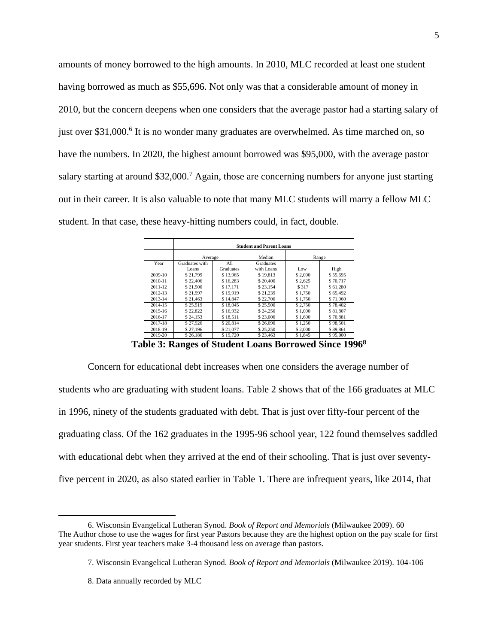amounts of money borrowed to the high amounts. In 2010, MLC recorded at least one student having borrowed as much as \$55,696. Not only was that a considerable amount of money in 2010, but the concern deepens when one considers that the average pastor had a starting salary of just over \$31,000.<sup>6</sup> It is no wonder many graduates are overwhelmed. As time marched on, so have the numbers. In 2020, the highest amount borrowed was \$95,000, with the average pastor salary starting at around \$32,000.<sup>7</sup> Again, those are concerning numbers for anyone just starting out in their career. It is also valuable to note that many MLC students will marry a fellow MLC student. In that case, these heavy-hitting numbers could, in fact, double.

|         | <b>Student and Parent Loans</b> |                  |                         |         |          |  |  |  |
|---------|---------------------------------|------------------|-------------------------|---------|----------|--|--|--|
|         | Average                         |                  | Median                  |         | Range    |  |  |  |
| Year    | Graduates with<br>Loans         | All<br>Graduates | Graduates<br>with Loans | Low     | High     |  |  |  |
| 2009-10 | \$21,799                        | \$13.965         | \$19.813                | \$2,000 | \$55,695 |  |  |  |
| 2010-11 | \$22,406                        | \$16,283         | \$20,400                | \$2,625 | \$70,717 |  |  |  |
| 2011-12 | \$21,500                        | \$17,171         | \$23,154                | \$317   | \$61,280 |  |  |  |
| 2012-13 | \$21,997                        | \$19,919         | \$21,239                | \$1,750 | \$65,492 |  |  |  |
| 2013-14 | \$21,463                        | \$14,847         | \$22,700                | \$1,750 | \$71,960 |  |  |  |
| 2014-15 | \$25.519                        | \$18,045         | \$25,500                | \$2,750 | \$78,402 |  |  |  |
| 2015-16 | \$22,822                        | \$16.932         | \$24,250                | \$1,000 | \$81,807 |  |  |  |
| 2016-17 | \$24,153                        | \$18,511         | \$23,000                | \$1,600 | \$70,881 |  |  |  |
| 2017-18 | \$27.926                        | \$20.814         | \$26,090                | \$1,250 | \$98,501 |  |  |  |
| 2018-19 | \$27,196                        | \$21,077         | \$25,250                | \$2,000 | \$89,861 |  |  |  |
| 2019-20 | \$26,186                        | \$19,720         | \$23,463                | \$1.845 | \$95,000 |  |  |  |

**Table 3: Ranges of Student Loans Borrowed Since 1996<sup>8</sup>**

Concern for educational debt increases when one considers the average number of students who are graduating with student loans. Table 2 shows that of the 166 graduates at MLC in 1996, ninety of the students graduated with debt. That is just over fifty-four percent of the graduating class. Of the 162 graduates in the 1995-96 school year, 122 found themselves saddled with educational debt when they arrived at the end of their schooling. That is just over seventyfive percent in 2020, as also stated earlier in Table 1. There are infrequent years, like 2014, that

<sup>6.</sup> Wisconsin Evangelical Lutheran Synod. *Book of Report and Memorials* (Milwaukee 2009). 60 The Author chose to use the wages for first year Pastors because they are the highest option on the pay scale for first year students. First year teachers make 3-4 thousand less on average than pastors.

<sup>7.</sup> Wisconsin Evangelical Lutheran Synod. *Book of Report and Memorials* (Milwaukee 2019). 104-106

<sup>8.</sup> Data annually recorded by MLC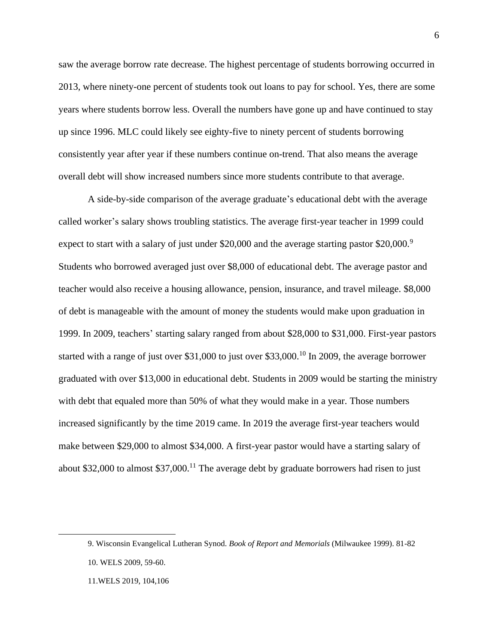saw the average borrow rate decrease. The highest percentage of students borrowing occurred in 2013, where ninety-one percent of students took out loans to pay for school. Yes, there are some years where students borrow less. Overall the numbers have gone up and have continued to stay up since 1996. MLC could likely see eighty-five to ninety percent of students borrowing consistently year after year if these numbers continue on-trend. That also means the average overall debt will show increased numbers since more students contribute to that average.

A side-by-side comparison of the average graduate's educational debt with the average called worker's salary shows troubling statistics. The average first-year teacher in 1999 could expect to start with a salary of just under \$20,000 and the average starting pastor \$20,000.<sup>9</sup> Students who borrowed averaged just over \$8,000 of educational debt. The average pastor and teacher would also receive a housing allowance, pension, insurance, and travel mileage. \$8,000 of debt is manageable with the amount of money the students would make upon graduation in 1999. In 2009, teachers' starting salary ranged from about \$28,000 to \$31,000. First-year pastors started with a range of just over \$31,000 to just over \$33,000.<sup>10</sup> In 2009, the average borrower graduated with over \$13,000 in educational debt. Students in 2009 would be starting the ministry with debt that equaled more than 50% of what they would make in a year. Those numbers increased significantly by the time 2019 came. In 2019 the average first-year teachers would make between \$29,000 to almost \$34,000. A first-year pastor would have a starting salary of about \$32,000 to almost  $$37,000$ .<sup>11</sup> The average debt by graduate borrowers had risen to just

<sup>9.</sup> Wisconsin Evangelical Lutheran Synod. *Book of Report and Memorials* (Milwaukee 1999). 81-82

<sup>10.</sup> WELS 2009, 59-60.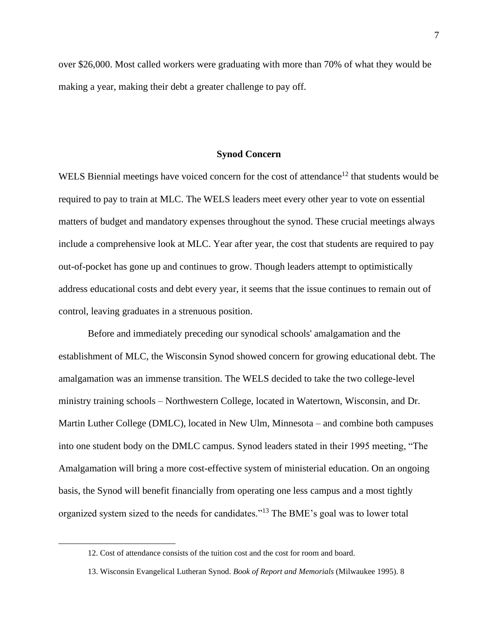over \$26,000. Most called workers were graduating with more than 70% of what they would be making a year, making their debt a greater challenge to pay off.

#### **Synod Concern**

WELS Biennial meetings have voiced concern for the cost of attendance<sup>12</sup> that students would be required to pay to train at MLC. The WELS leaders meet every other year to vote on essential matters of budget and mandatory expenses throughout the synod. These crucial meetings always include a comprehensive look at MLC. Year after year, the cost that students are required to pay out-of-pocket has gone up and continues to grow. Though leaders attempt to optimistically address educational costs and debt every year, it seems that the issue continues to remain out of control, leaving graduates in a strenuous position.

Before and immediately preceding our synodical schools' amalgamation and the establishment of MLC, the Wisconsin Synod showed concern for growing educational debt. The amalgamation was an immense transition. The WELS decided to take the two college-level ministry training schools – Northwestern College, located in Watertown, Wisconsin, and Dr. Martin Luther College (DMLC), located in New Ulm, Minnesota – and combine both campuses into one student body on the DMLC campus. Synod leaders stated in their 1995 meeting, "The Amalgamation will bring a more cost-effective system of ministerial education. On an ongoing basis, the Synod will benefit financially from operating one less campus and a most tightly organized system sized to the needs for candidates."<sup>13</sup> The BME's goal was to lower total

<sup>12.</sup> Cost of attendance consists of the tuition cost and the cost for room and board.

<sup>13.</sup> Wisconsin Evangelical Lutheran Synod. *Book of Report and Memorials* (Milwaukee 1995). 8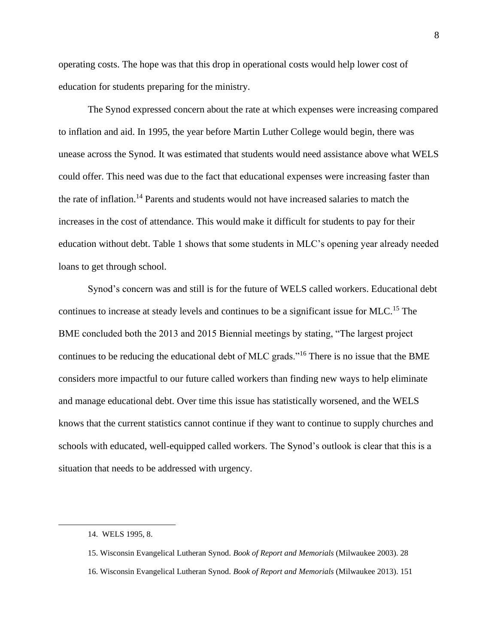operating costs. The hope was that this drop in operational costs would help lower cost of education for students preparing for the ministry.

The Synod expressed concern about the rate at which expenses were increasing compared to inflation and aid. In 1995, the year before Martin Luther College would begin, there was unease across the Synod. It was estimated that students would need assistance above what WELS could offer. This need was due to the fact that educational expenses were increasing faster than the rate of inflation.<sup>14</sup> Parents and students would not have increased salaries to match the increases in the cost of attendance. This would make it difficult for students to pay for their education without debt. Table 1 shows that some students in MLC's opening year already needed loans to get through school.

Synod's concern was and still is for the future of WELS called workers. Educational debt continues to increase at steady levels and continues to be a significant issue for MLC.<sup>15</sup> The BME concluded both the 2013 and 2015 Biennial meetings by stating, "The largest project continues to be reducing the educational debt of MLC grads."<sup>16</sup> There is no issue that the BME considers more impactful to our future called workers than finding new ways to help eliminate and manage educational debt. Over time this issue has statistically worsened, and the WELS knows that the current statistics cannot continue if they want to continue to supply churches and schools with educated, well-equipped called workers. The Synod's outlook is clear that this is a situation that needs to be addressed with urgency.

<sup>14.</sup> WELS 1995, 8.

<sup>15.</sup> Wisconsin Evangelical Lutheran Synod. *Book of Report and Memorials* (Milwaukee 2003). 28

<sup>16.</sup> Wisconsin Evangelical Lutheran Synod. *Book of Report and Memorials* (Milwaukee 2013). 151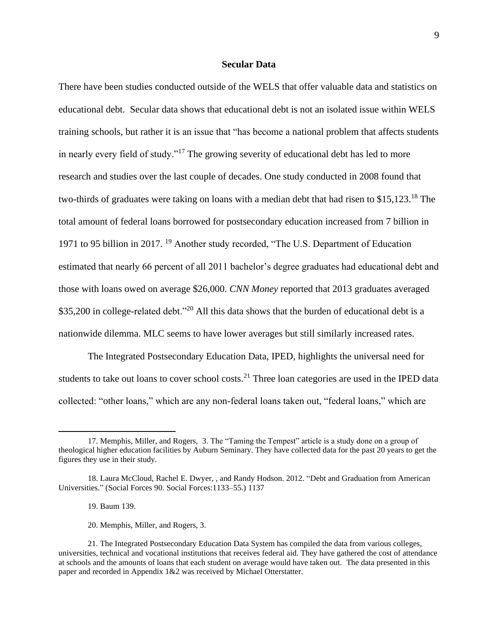#### **Secular Data**

There have been studies conducted outside of the WELS that offer valuable data and statistics on educational debt. Secular data shows that educational debt is not an isolated issue within WELS training schools, but rather it is an issue that "has become a national problem that affects students in nearly every field of study."<sup>17</sup> The growing severity of educational debt has led to more research and studies over the last couple of decades. One study conducted in 2008 found that two-thirds of graduates were taking on loans with a median debt that had risen to \$15,123.<sup>18</sup> The total amount of federal loans borrowed for postsecondary education increased from 7 billion in 1971 to 95 billion in 2017. <sup>19</sup> Another study recorded, "The U.S. Department of Education estimated that nearly 66 percent of all 2011 bachelor's degree graduates had educational debt and those with loans owed on average \$26,000. *CNN Money* reported that 2013 graduates averaged \$35,200 in college-related debt."<sup>20</sup> All this data shows that the burden of educational debt is a nationwide dilemma. MLC seems to have lower averages but still similarly increased rates.

The Integrated Postsecondary Education Data, IPED, highlights the universal need for students to take out loans to cover school costs.<sup>21</sup> Three loan categories are used in the IPED data collected: "other loans," which are any non-federal loans taken out, "federal loans," which are

19. Baum 139.

20. Memphis, Miller, and Rogers, 3.

<sup>17.</sup> Memphis, Miller, and Rogers, 3. The "Taming the Tempest" article is a study done on a group of theological higher education facilities by Auburn Seminary. They have collected data for the past 20 years to get the figures they use in their study.

<sup>18.</sup> Laura McCloud, Rachel E. Dwyer, , and Randy Hodson. 2012. "Debt and Graduation from American Universities." (Social Forces 90. Social Forces:1133–55.) 1137

<sup>21.</sup> The Integrated Postsecondary Education Data System has compiled the data from various colleges, universities, technical and vocational institutions that receives federal aid. They have gathered the cost of attendance at schools and the amounts of loans that each student on average would have taken out. The data presented in this paper and recorded in Appendix 1&2 was received by Michael Otterstatter.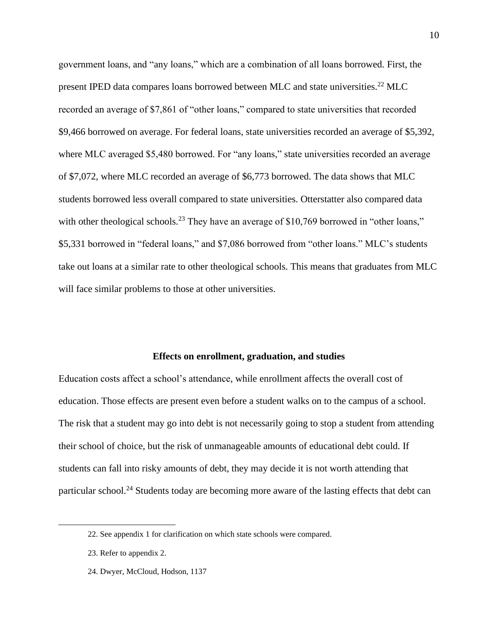government loans, and "any loans," which are a combination of all loans borrowed. First, the present IPED data compares loans borrowed between MLC and state universities.<sup>22</sup> MLC recorded an average of \$7,861 of "other loans," compared to state universities that recorded \$9,466 borrowed on average. For federal loans, state universities recorded an average of \$5,392, where MLC averaged \$5,480 borrowed. For "any loans," state universities recorded an average of \$7,072, where MLC recorded an average of \$6,773 borrowed. The data shows that MLC students borrowed less overall compared to state universities. Otterstatter also compared data with other theological schools.<sup>23</sup> They have an average of \$10,769 borrowed in "other loans," \$5,331 borrowed in "federal loans," and \$7,086 borrowed from "other loans." MLC's students take out loans at a similar rate to other theological schools. This means that graduates from MLC will face similar problems to those at other universities.

#### **Effects on enrollment, graduation, and studies**

Education costs affect a school's attendance, while enrollment affects the overall cost of education. Those effects are present even before a student walks on to the campus of a school. The risk that a student may go into debt is not necessarily going to stop a student from attending their school of choice, but the risk of unmanageable amounts of educational debt could. If students can fall into risky amounts of debt, they may decide it is not worth attending that particular school.<sup>24</sup> Students today are becoming more aware of the lasting effects that debt can

<sup>22.</sup> See appendix 1 for clarification on which state schools were compared.

<sup>23.</sup> Refer to appendix 2.

<sup>24.</sup> Dwyer, McCloud, Hodson, 1137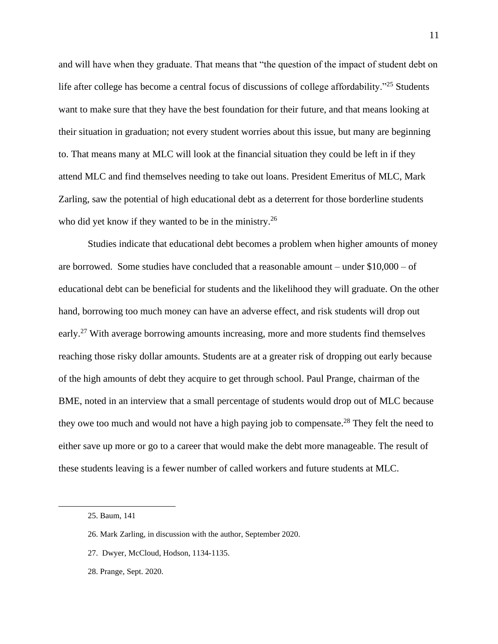and will have when they graduate. That means that "the question of the impact of student debt on life after college has become a central focus of discussions of college affordability."<sup>25</sup> Students want to make sure that they have the best foundation for their future, and that means looking at their situation in graduation; not every student worries about this issue, but many are beginning to. That means many at MLC will look at the financial situation they could be left in if they attend MLC and find themselves needing to take out loans. President Emeritus of MLC, Mark Zarling, saw the potential of high educational debt as a deterrent for those borderline students who did yet know if they wanted to be in the ministry.<sup>26</sup>

Studies indicate that educational debt becomes a problem when higher amounts of money are borrowed. Some studies have concluded that a reasonable amount – under \$10,000 – of educational debt can be beneficial for students and the likelihood they will graduate. On the other hand, borrowing too much money can have an adverse effect, and risk students will drop out early.<sup>27</sup> With average borrowing amounts increasing, more and more students find themselves reaching those risky dollar amounts. Students are at a greater risk of dropping out early because of the high amounts of debt they acquire to get through school. Paul Prange, chairman of the BME, noted in an interview that a small percentage of students would drop out of MLC because they owe too much and would not have a high paying job to compensate.<sup>28</sup> They felt the need to either save up more or go to a career that would make the debt more manageable. The result of these students leaving is a fewer number of called workers and future students at MLC.

- 27. Dwyer, McCloud, Hodson, 1134-1135.
- 28. Prange, Sept. 2020.

<sup>25.</sup> Baum, 141

<sup>26.</sup> Mark Zarling, in discussion with the author, September 2020.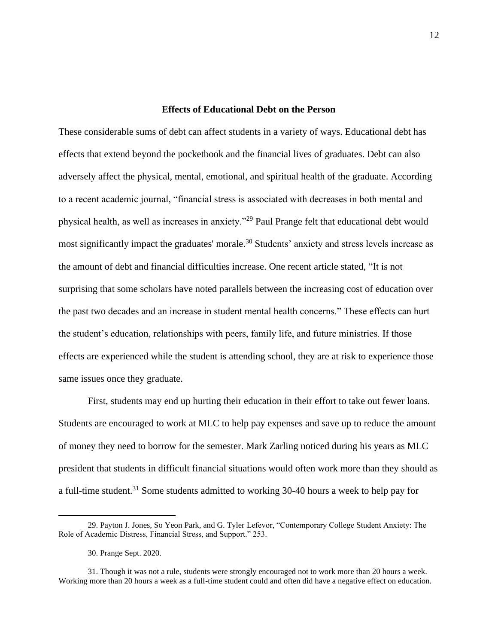### **Effects of Educational Debt on the Person**

These considerable sums of debt can affect students in a variety of ways. Educational debt has effects that extend beyond the pocketbook and the financial lives of graduates. Debt can also adversely affect the physical, mental, emotional, and spiritual health of the graduate. According to a recent academic journal, "financial stress is associated with decreases in both mental and physical health, as well as increases in anxiety."<sup>29</sup> Paul Prange felt that educational debt would most significantly impact the graduates' morale.<sup>30</sup> Students' anxiety and stress levels increase as the amount of debt and financial difficulties increase. One recent article stated, "It is not surprising that some scholars have noted parallels between the increasing cost of education over the past two decades and an increase in student mental health concerns." These effects can hurt the student's education, relationships with peers, family life, and future ministries. If those effects are experienced while the student is attending school, they are at risk to experience those same issues once they graduate.

First, students may end up hurting their education in their effort to take out fewer loans. Students are encouraged to work at MLC to help pay expenses and save up to reduce the amount of money they need to borrow for the semester. Mark Zarling noticed during his years as MLC president that students in difficult financial situations would often work more than they should as a full-time student.<sup>31</sup> Some students admitted to working 30-40 hours a week to help pay for

<sup>29.</sup> Payton J. Jones, So Yeon Park, and G. Tyler Lefevor, "Contemporary College Student Anxiety: The Role of Academic Distress, Financial Stress, and Support." 253.

<sup>30.</sup> Prange Sept. 2020.

<sup>31.</sup> Though it was not a rule, students were strongly encouraged not to work more than 20 hours a week. Working more than 20 hours a week as a full-time student could and often did have a negative effect on education.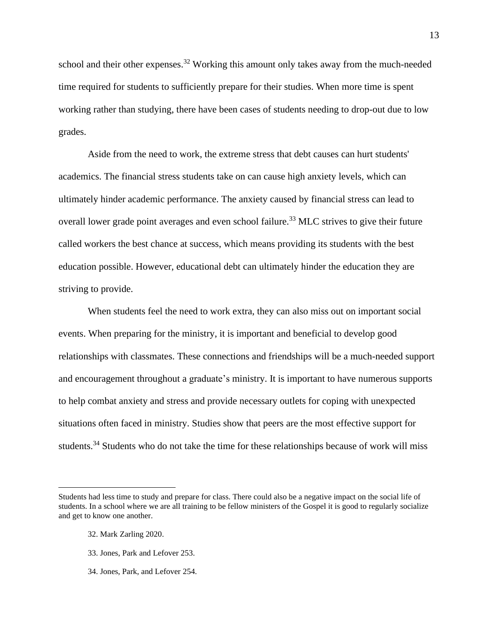school and their other expenses.<sup>32</sup> Working this amount only takes away from the much-needed time required for students to sufficiently prepare for their studies. When more time is spent working rather than studying, there have been cases of students needing to drop-out due to low grades.

Aside from the need to work, the extreme stress that debt causes can hurt students' academics. The financial stress students take on can cause high anxiety levels, which can ultimately hinder academic performance. The anxiety caused by financial stress can lead to overall lower grade point averages and even school failure.<sup>33</sup> MLC strives to give their future called workers the best chance at success, which means providing its students with the best education possible. However, educational debt can ultimately hinder the education they are striving to provide.

When students feel the need to work extra, they can also miss out on important social events. When preparing for the ministry, it is important and beneficial to develop good relationships with classmates. These connections and friendships will be a much-needed support and encouragement throughout a graduate's ministry. It is important to have numerous supports to help combat anxiety and stress and provide necessary outlets for coping with unexpected situations often faced in ministry. Studies show that peers are the most effective support for students.<sup>34</sup> Students who do not take the time for these relationships because of work will miss

Students had less time to study and prepare for class. There could also be a negative impact on the social life of students. In a school where we are all training to be fellow ministers of the Gospel it is good to regularly socialize and get to know one another.

<sup>32.</sup> Mark Zarling 2020.

<sup>33.</sup> Jones, Park and Lefover 253.

<sup>34.</sup> Jones, Park, and Lefover 254.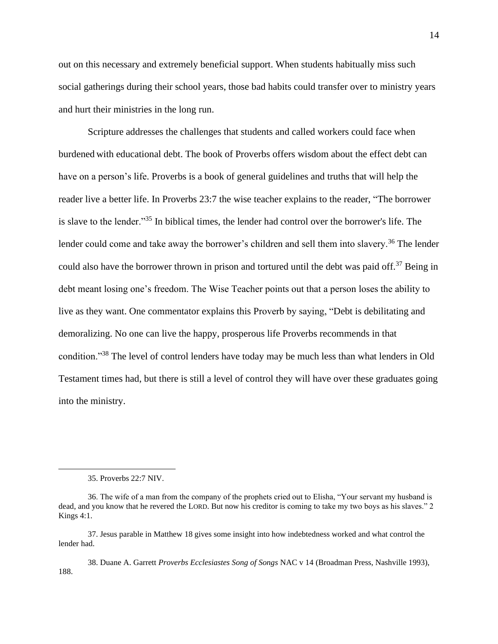out on this necessary and extremely beneficial support. When students habitually miss such social gatherings during their school years, those bad habits could transfer over to ministry years and hurt their ministries in the long run.

Scripture addresses the challenges that students and called workers could face when burdened with educational debt. The book of Proverbs offers wisdom about the effect debt can have on a person's life. Proverbs is a book of general guidelines and truths that will help the reader live a better life. In Proverbs 23:7 the wise teacher explains to the reader, "The borrower is slave to the lender."<sup>35</sup> In biblical times, the lender had control over the borrower's life. The lender could come and take away the borrower's children and sell them into slavery.<sup>36</sup> The lender could also have the borrower thrown in prison and tortured until the debt was paid off.<sup>37</sup> Being in debt meant losing one's freedom. The Wise Teacher points out that a person loses the ability to live as they want. One commentator explains this Proverb by saying, "Debt is debilitating and demoralizing. No one can live the happy, prosperous life Proverbs recommends in that condition."<sup>38</sup> The level of control lenders have today may be much less than what lenders in Old Testament times had, but there is still a level of control they will have over these graduates going into the ministry.

38. Duane A. Garrett *Proverbs Ecclesiastes Song of Songs* NAC v 14 (Broadman Press, Nashville 1993), 188.

<sup>35.</sup> Proverbs 22:7 NIV.

<sup>36.</sup> The wife of a man from the company of the prophets cried out to Elisha, "Your servant my husband is dead, and you know that he revered the LORD. But now his creditor is coming to take my two boys as his slaves." 2 Kings 4:1.

<sup>37.</sup> Jesus parable in Matthew 18 gives some insight into how indebtedness worked and what control the lender had.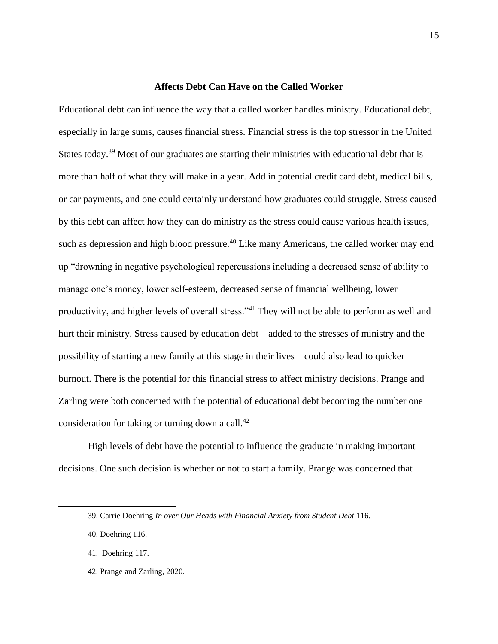#### **Affects Debt Can Have on the Called Worker**

Educational debt can influence the way that a called worker handles ministry. Educational debt, especially in large sums, causes financial stress. Financial stress is the top stressor in the United States today.<sup>39</sup> Most of our graduates are starting their ministries with educational debt that is more than half of what they will make in a year. Add in potential credit card debt, medical bills, or car payments, and one could certainly understand how graduates could struggle. Stress caused by this debt can affect how they can do ministry as the stress could cause various health issues, such as depression and high blood pressure.<sup>40</sup> Like many Americans, the called worker may end up "drowning in negative psychological repercussions including a decreased sense of ability to manage one's money, lower self-esteem, decreased sense of financial wellbeing, lower productivity, and higher levels of overall stress."<sup>41</sup> They will not be able to perform as well and hurt their ministry. Stress caused by education debt – added to the stresses of ministry and the possibility of starting a new family at this stage in their lives – could also lead to quicker burnout. There is the potential for this financial stress to affect ministry decisions. Prange and Zarling were both concerned with the potential of educational debt becoming the number one consideration for taking or turning down a call. $^{42}$ 

High levels of debt have the potential to influence the graduate in making important decisions. One such decision is whether or not to start a family. Prange was concerned that

42. Prange and Zarling, 2020.

<sup>39.</sup> Carrie Doehring *In over Our Heads with Financial Anxiety from Student Debt* 116.

<sup>40.</sup> Doehring 116.

<sup>41.</sup> Doehring 117.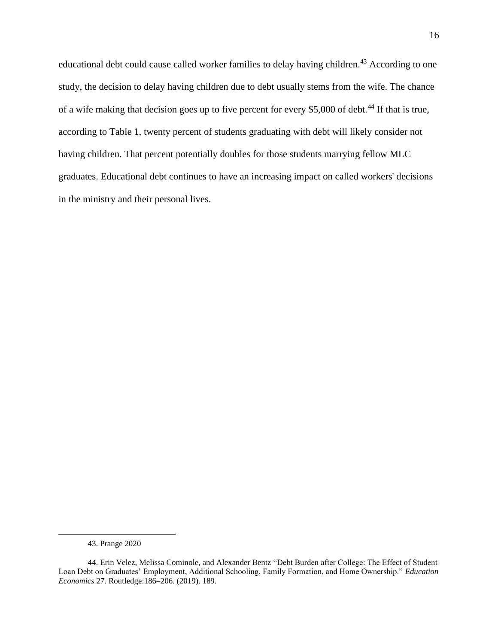educational debt could cause called worker families to delay having children.<sup>43</sup> According to one study, the decision to delay having children due to debt usually stems from the wife. The chance of a wife making that decision goes up to five percent for every \$5,000 of debt.<sup>44</sup> If that is true, according to Table 1, twenty percent of students graduating with debt will likely consider not having children. That percent potentially doubles for those students marrying fellow MLC graduates. Educational debt continues to have an increasing impact on called workers' decisions in the ministry and their personal lives.

<sup>43.</sup> Prange 2020

<sup>44.</sup> Erin Velez, Melissa Cominole, and Alexander Bentz "Debt Burden after College: The Effect of Student Loan Debt on Graduates' Employment, Additional Schooling, Family Formation, and Home Ownership." *Education Economics* 27. Routledge:186–206. (2019). 189.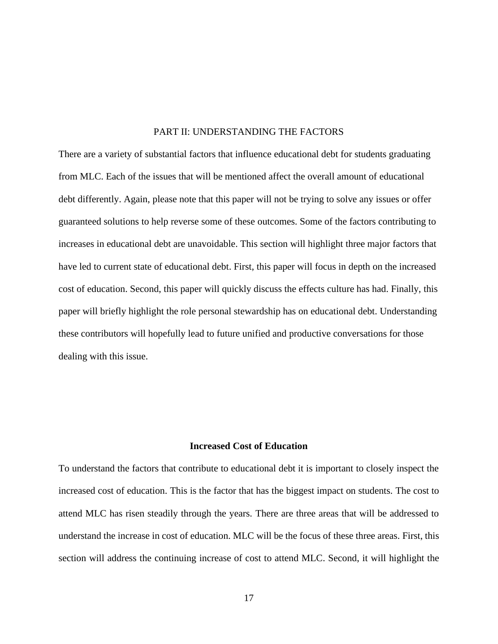## PART II: UNDERSTANDING THE FACTORS

There are a variety of substantial factors that influence educational debt for students graduating from MLC. Each of the issues that will be mentioned affect the overall amount of educational debt differently. Again, please note that this paper will not be trying to solve any issues or offer guaranteed solutions to help reverse some of these outcomes. Some of the factors contributing to increases in educational debt are unavoidable. This section will highlight three major factors that have led to current state of educational debt. First, this paper will focus in depth on the increased cost of education. Second, this paper will quickly discuss the effects culture has had. Finally, this paper will briefly highlight the role personal stewardship has on educational debt. Understanding these contributors will hopefully lead to future unified and productive conversations for those dealing with this issue.

#### **Increased Cost of Education**

To understand the factors that contribute to educational debt it is important to closely inspect the increased cost of education. This is the factor that has the biggest impact on students. The cost to attend MLC has risen steadily through the years. There are three areas that will be addressed to understand the increase in cost of education. MLC will be the focus of these three areas. First, this section will address the continuing increase of cost to attend MLC. Second, it will highlight the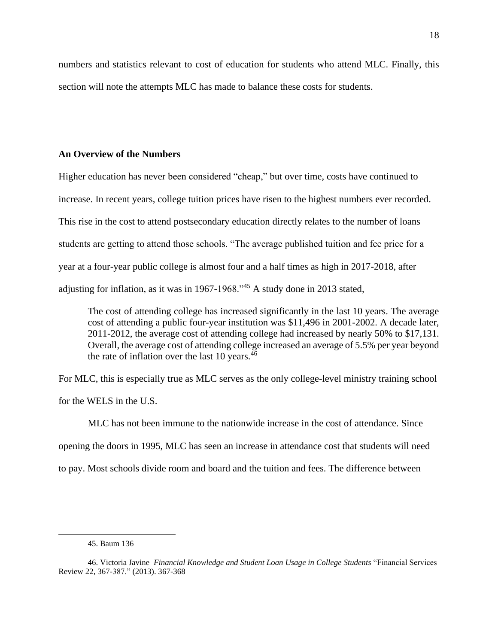numbers and statistics relevant to cost of education for students who attend MLC. Finally, this section will note the attempts MLC has made to balance these costs for students.

# **An Overview of the Numbers**

Higher education has never been considered "cheap," but over time, costs have continued to increase. In recent years, college tuition prices have risen to the highest numbers ever recorded. This rise in the cost to attend postsecondary education directly relates to the number of loans students are getting to attend those schools. "The average published tuition and fee price for a year at a four-year public college is almost four and a half times as high in 2017-2018, after adjusting for inflation, as it was in 1967-1968."<sup>45</sup> A study done in 2013 stated,

The cost of attending college has increased significantly in the last 10 years. The average cost of attending a public four-year institution was \$11,496 in 2001-2002. A decade later, 2011-2012, the average cost of attending college had increased by nearly 50% to \$17,131. Overall, the average cost of attending college increased an average of 5.5% per year beyond the rate of inflation over the last 10 years. $46$ 

For MLC, this is especially true as MLC serves as the only college-level ministry training school for the WELS in the U.S.

MLC has not been immune to the nationwide increase in the cost of attendance. Since opening the doors in 1995, MLC has seen an increase in attendance cost that students will need to pay. Most schools divide room and board and the tuition and fees. The difference between

<sup>45.</sup> Baum 136

<sup>46.</sup> Victoria Javine *Financial Knowledge and Student Loan Usage in College Students* "Financial Services Review 22, 367-387." [\(2013\).](http://web.a.ebscohost.com/ehost/pdfviewer/pdfviewer?vid=0&sid=5848592f-fa26-4c79-8ce9-f199e1b81222%40sessionmgr4008.(2013)) 367-368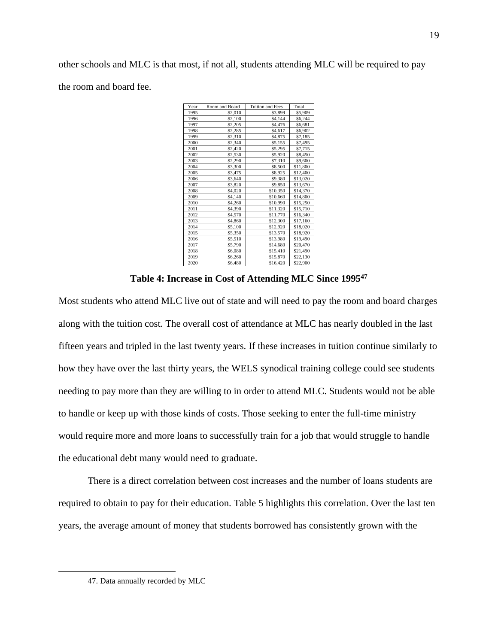other schools and MLC is that most, if not all, students attending MLC will be required to pay the room and board fee.

| Year | Room and Board | <b>Tuition and Fees</b> | Total    |
|------|----------------|-------------------------|----------|
| 1995 | \$2,010        | \$3,899                 | \$5,909  |
| 1996 | \$2,100        | \$4,144                 | \$6,244  |
| 1997 | \$2,205        | \$4,476                 | \$6,681  |
| 1998 | \$2,285        | \$4,617                 | \$6,902  |
| 1999 | \$2,310        | \$4,875                 | \$7,185  |
| 2000 | \$2,340        | \$5,155                 | \$7,495  |
| 2001 | \$2,420        | \$5,295                 | \$7,715  |
| 2002 | \$2,530        | \$5,920                 | \$8,450  |
| 2003 | \$2,290        | \$7,310                 | \$9,600  |
| 2004 | \$3,300        | \$8,500                 | \$11,800 |
| 2005 | \$3,475        | \$8,925                 | \$12,400 |
| 2006 | \$3,640        | \$9,380                 | \$13,020 |
| 2007 | \$3,820        | \$9,850                 | \$13,670 |
| 2008 | \$4,020        | \$10,350                | \$14,370 |
| 2009 | \$4,140        | \$10,660                | \$14,800 |
| 2010 | \$4,260        | \$10,990                | \$15,250 |
| 2011 | \$4,390        | \$11,320                | \$15,710 |
| 2012 | \$4,570        | \$11,770                | \$16,340 |
| 2013 | \$4,860        | \$12,300                | \$17,160 |
| 2014 | \$5,100        | \$12,920                | \$18,020 |
| 2015 | \$5,350        | \$13,570                | \$18,920 |
| 2016 | \$5,510        | \$13,980                | \$19,490 |
| 2017 | \$5,790        | \$14,680                | \$20,470 |
| 2018 | \$6,080        | \$15,410                | \$21,490 |
| 2019 | \$6,260        | \$15,870                | \$22,130 |
| 2020 | \$6,480        | \$16,420                | \$22,900 |

**Table 4: Increase in Cost of Attending MLC Since 1995<sup>47</sup>**

Most students who attend MLC live out of state and will need to pay the room and board charges along with the tuition cost. The overall cost of attendance at MLC has nearly doubled in the last fifteen years and tripled in the last twenty years. If these increases in tuition continue similarly to how they have over the last thirty years, the WELS synodical training college could see students needing to pay more than they are willing to in order to attend MLC. Students would not be able to handle or keep up with those kinds of costs. Those seeking to enter the full-time ministry would require more and more loans to successfully train for a job that would struggle to handle the educational debt many would need to graduate.

There is a direct correlation between cost increases and the number of loans students are required to obtain to pay for their education. Table 5 highlights this correlation. Over the last ten years, the average amount of money that students borrowed has consistently grown with the

<sup>47.</sup> Data annually recorded by MLC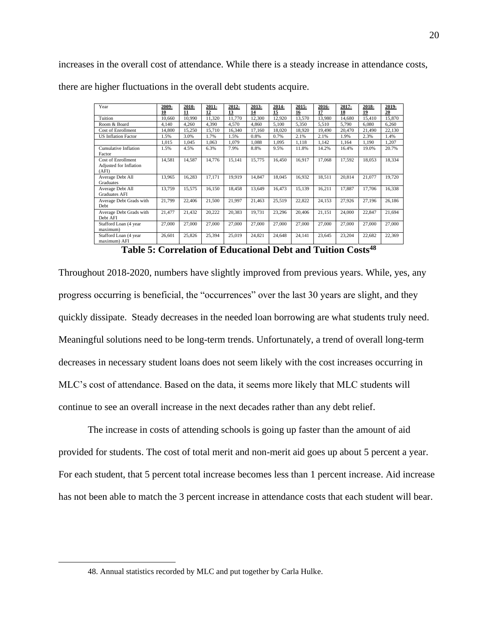increases in the overall cost of attendance. While there is a steady increase in attendance costs, there are higher fluctuations in the overall debt students acquire.

| Year                       | 2009-  | 2010-  | 2011-  | 2012-  | 2013-  | 2014-  | 2015-  | 2016-  | 2017-  | 2018-      | 2019-  |
|----------------------------|--------|--------|--------|--------|--------|--------|--------|--------|--------|------------|--------|
|                            | 10     | 11     | 12     | 13     | 14     | 15     | 16     | 17     | 18     | 19         | 20     |
| Tuition                    | 10.660 | 10.990 | 11,320 | 11.770 | 12,300 | 12,920 | 13,570 | 13.980 | 14.680 | 15.410     | 15,870 |
| Room & Board               | 4,140  | 4,260  | 4,390  | 4,570  | 4,860  | 5,100  | 5,350  | 5,510  | 5,790  | 6,080      | 6,260  |
| <b>Cost of Enrollment</b>  | 14,800 | 15,250 | 15.710 | 16.340 | 17,160 | 18.020 | 18.920 | 19.490 | 20.470 | 21.490     | 22.130 |
| <b>US Inflation Factor</b> | 1.5%   | 3.0%   | 1.7%   | 1.5%   | 0.8%   | 0.7%   | 2.1%   | 2.1%   | 1.9%   | 2.3%       | 1.4%   |
|                            | 1,015  | 1.045  | 1.063  | 1.079  | 1.088  | 1.095  | 1.118  | 1.142  | 1,164  | 1,190      | 1,207  |
| Cumulative Inflation       | 1.5%   | 4.5%   | 6.3%   | 7.9%   | 8.8%   | 9.5%   | 11.8%  | 14.2%  | 16.4%  | 19.0%      | 20.7%  |
| Factor                     |        |        |        |        |        |        |        |        |        |            |        |
| Cost of Enrollment         | 14,581 | 14,587 | 14,776 | 15.141 | 15,775 | 16.450 | 16.917 | 17.068 | 17.592 | 18,053     | 18,334 |
| Adjusted for Inflation     |        |        |        |        |        |        |        |        |        |            |        |
| (AFI)                      |        |        |        |        |        |        |        |        |        |            |        |
| Average Debt All           | 13,965 | 16,283 | 17,171 | 19.919 | 14.847 | 18.045 | 16,932 | 18.511 | 20.814 | 21,077     | 19.720 |
| Graduates                  |        |        |        |        |        |        |        |        |        |            |        |
| Average Debt All           | 13,759 | 15,575 | 16,150 | 18.458 | 13,649 | 16.473 | 15.139 | 16,211 | 17.887 | 17,706     | 16,338 |
| <b>Graduates AFI</b>       |        |        |        |        |        |        |        |        |        |            |        |
| Average Debt Grads with    | 21,799 | 22,406 | 21,500 | 21.997 | 21,463 | 25,519 | 22,822 | 24,153 | 27,926 | 27,196     | 26,186 |
| Debt                       |        |        |        |        |        |        |        |        |        |            |        |
| Average Debt Grads with    | 21,477 | 21,432 | 20,222 | 20,383 | 19.731 | 23,296 | 20,406 | 21,151 | 24,000 | 22,847     | 21,694 |
| Debt AFI                   |        |        |        |        |        |        |        |        |        |            |        |
| Stafford Loan (4 year      | 27,000 | 27,000 | 27,000 | 27,000 | 27,000 | 27,000 | 27,000 | 27,000 | 27,000 | 27,000     | 27,000 |
| maximum)                   |        |        |        |        |        |        |        |        |        |            |        |
| Stafford Loan (4 year      | 26,601 | 25,826 | 25,394 | 25,019 | 24,821 | 24,648 | 24,141 | 23,645 | 23,204 | 22,682     | 22,369 |
| maximum) AFI               |        |        |        |        |        |        |        |        |        |            |        |
|                            |        |        |        |        |        |        |        |        |        | $\sqrt{2}$ |        |

**Table 5: Correlation of Educational Debt and Tuition Costs<sup>48</sup>**

Throughout 2018-2020, numbers have slightly improved from previous years. While, yes, any progress occurring is beneficial, the "occurrences" over the last 30 years are slight, and they quickly dissipate. Steady decreases in the needed loan borrowing are what students truly need. Meaningful solutions need to be long-term trends. Unfortunately, a trend of overall long-term decreases in necessary student loans does not seem likely with the cost increases occurring in MLC's cost of attendance. Based on the data, it seems more likely that MLC students will continue to see an overall increase in the next decades rather than any debt relief.

The increase in costs of attending schools is going up faster than the amount of aid provided for students. The cost of total merit and non-merit aid goes up about 5 percent a year. For each student, that 5 percent total increase becomes less than 1 percent increase. Aid increase has not been able to match the 3 percent increase in attendance costs that each student will bear.

<sup>48.</sup> Annual statistics recorded by MLC and put together by Carla Hulke.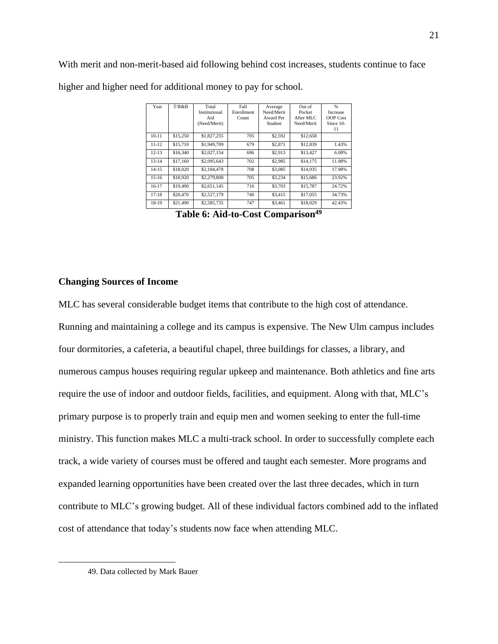With merit and non-merit-based aid following behind cost increases, students continue to face higher and higher need for additional money to pay for school.

| Year      | T/R & B  | Total         | Fall       | Average    | Out of     | %               |
|-----------|----------|---------------|------------|------------|------------|-----------------|
|           |          | Institutional | Enrollment | Need/Merit | Pocket     | <b>Increase</b> |
|           |          | Aid           | Count      | Award Per  | After MLC  | <b>OOP</b> Cost |
|           |          | (Need/Merit)  |            | Student    | Need/Merit | Since 10-       |
|           |          |               |            |            |            | 11              |
| $10 - 11$ | \$15,250 | \$1,827,255   | 705        | \$2,592    | \$12,658   |                 |
| $11 - 12$ | \$15,710 | \$1,949,709   | 679        | \$2,871    | \$12,839   | 1.43%           |
| $12 - 13$ | \$16,340 | \$2,027,154   | 696        | \$2,913    | \$13,427   | 6.08%           |
| $13 - 14$ | \$17,160 | \$2,095,643   | 702        | \$2,985    | \$14,175   | 11.98%          |
| $14 - 15$ | \$18,020 | \$2,184,478   | 708        | \$3,085    | \$14,935   | 17.98%          |
| $15-16$   | \$18,920 | \$2,279,808   | 705        | \$3.234    | \$15,686   | 23.92%          |
| $16-17$   | \$19,490 | \$2,651,145   | 716        | \$3,703    | \$15,787   | 24.72%          |
| $17 - 18$ | \$20,470 | \$2,527,179   | 740        | \$3,415    | \$17,055   | 34.73%          |
| 18-19     | \$21,490 | \$2,585,735   | 747        | \$3,461    | \$18,029   | 42.43%          |

**Table 6: Aid-to-Cost Comparison<sup>49</sup>**

# **Changing Sources of Income**

MLC has several considerable budget items that contribute to the high cost of attendance. Running and maintaining a college and its campus is expensive. The New Ulm campus includes four dormitories, a cafeteria, a beautiful chapel, three buildings for classes, a library, and numerous campus houses requiring regular upkeep and maintenance. Both athletics and fine arts require the use of indoor and outdoor fields, facilities, and equipment. Along with that, MLC's primary purpose is to properly train and equip men and women seeking to enter the full-time ministry. This function makes MLC a multi-track school. In order to successfully complete each track, a wide variety of courses must be offered and taught each semester. More programs and expanded learning opportunities have been created over the last three decades, which in turn contribute to MLC's growing budget. All of these individual factors combined add to the inflated cost of attendance that today's students now face when attending MLC.

<sup>49.</sup> Data collected by Mark Bauer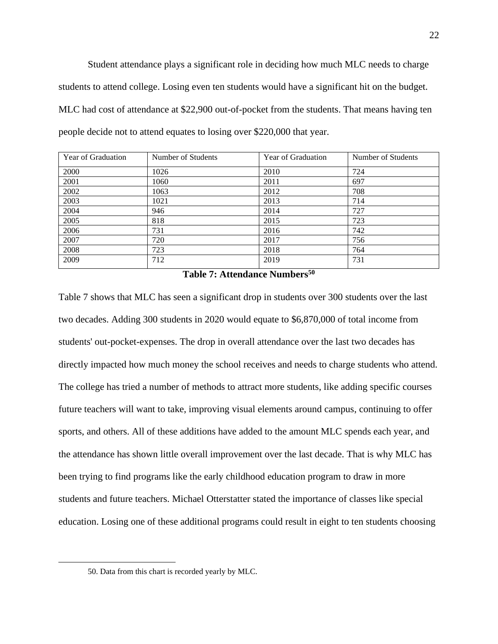Student attendance plays a significant role in deciding how much MLC needs to charge students to attend college. Losing even ten students would have a significant hit on the budget. MLC had cost of attendance at \$22,900 out-of-pocket from the students. That means having ten people decide not to attend equates to losing over \$220,000 that year.

| Year of Graduation | Number of Students | <b>Year of Graduation</b> | Number of Students |
|--------------------|--------------------|---------------------------|--------------------|
| 2000               | 1026               | 2010                      | 724                |
| 2001               | 1060               | 2011                      | 697                |
| 2002               | 1063               | 2012                      | 708                |
| 2003               | 1021               | 2013                      | 714                |
| 2004               | 946                | 2014                      | 727                |
| 2005               | 818                | 2015                      | 723                |
| 2006               | 731                | 2016                      | 742                |
| 2007               | 720                | 2017                      | 756                |
| 2008               | 723                | 2018                      | 764                |
| 2009               | 712                | 2019                      | 731                |

|  | Table 7: Attendance Numbers <sup>50</sup> |  |  |
|--|-------------------------------------------|--|--|
|  |                                           |  |  |

Table 7 shows that MLC has seen a significant drop in students over 300 students over the last two decades. Adding 300 students in 2020 would equate to \$6,870,000 of total income from students' out-pocket-expenses. The drop in overall attendance over the last two decades has directly impacted how much money the school receives and needs to charge students who attend. The college has tried a number of methods to attract more students, like adding specific courses future teachers will want to take, improving visual elements around campus, continuing to offer sports, and others. All of these additions have added to the amount MLC spends each year, and the attendance has shown little overall improvement over the last decade. That is why MLC has been trying to find programs like the early childhood education program to draw in more students and future teachers. Michael Otterstatter stated the importance of classes like special education. Losing one of these additional programs could result in eight to ten students choosing

<sup>50.</sup> Data from this chart is recorded yearly by MLC.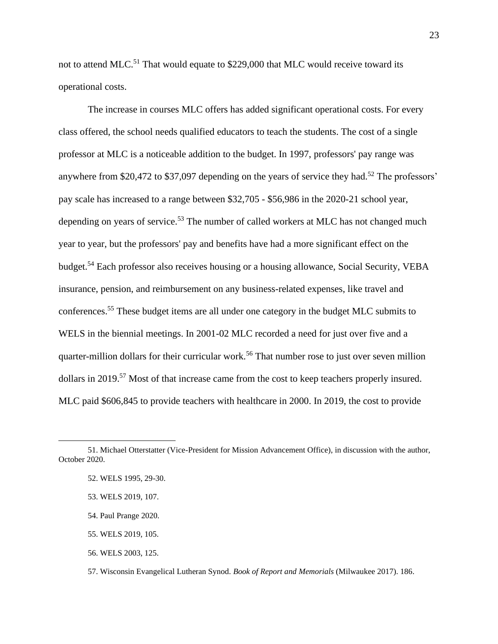not to attend MLC.<sup>51</sup> That would equate to \$229,000 that MLC would receive toward its operational costs.

The increase in courses MLC offers has added significant operational costs. For every class offered, the school needs qualified educators to teach the students. The cost of a single professor at MLC is a noticeable addition to the budget. In 1997, professors' pay range was anywhere from \$20,472 to \$37,097 depending on the years of service they had.<sup>52</sup> The professors' pay scale has increased to a range between \$32,705 - \$56,986 in the 2020-21 school year, depending on years of service.<sup>53</sup> The number of called workers at MLC has not changed much year to year, but the professors' pay and benefits have had a more significant effect on the budget.<sup>54</sup> Each professor also receives housing or a housing allowance, Social Security, VEBA insurance, pension, and reimbursement on any business-related expenses, like travel and conferences.<sup>55</sup> These budget items are all under one category in the budget MLC submits to WELS in the biennial meetings. In 2001-02 MLC recorded a need for just over five and a quarter-million dollars for their curricular work.<sup>56</sup> That number rose to just over seven million dollars in 2019.<sup>57</sup> Most of that increase came from the cost to keep teachers properly insured. MLC paid \$606,845 to provide teachers with healthcare in 2000. In 2019, the cost to provide

56. WELS 2003, 125.

<sup>51.</sup> Michael Otterstatter (Vice-President for Mission Advancement Office), in discussion with the author, October 2020.

<sup>52.</sup> WELS 1995, 29-30.

<sup>53.</sup> WELS 2019, 107.

<sup>54.</sup> Paul Prange 2020.

<sup>55.</sup> WELS 2019, 105.

<sup>57.</sup> Wisconsin Evangelical Lutheran Synod. *Book of Report and Memorials* (Milwaukee 2017). 186.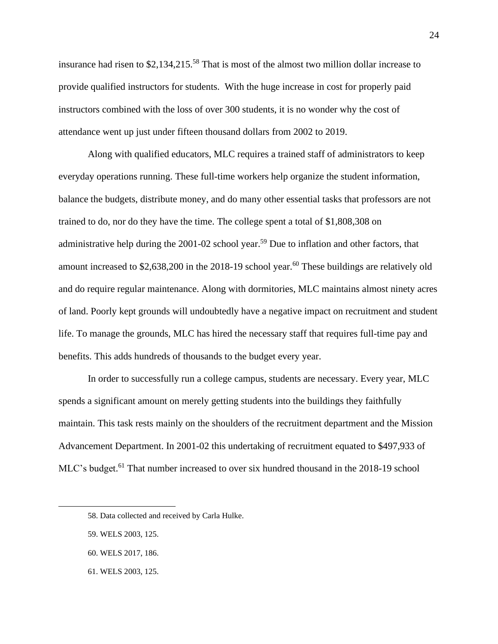insurance had risen to  $$2,134,215.^{58}$  That is most of the almost two million dollar increase to provide qualified instructors for students. With the huge increase in cost for properly paid instructors combined with the loss of over 300 students, it is no wonder why the cost of attendance went up just under fifteen thousand dollars from 2002 to 2019.

Along with qualified educators, MLC requires a trained staff of administrators to keep everyday operations running. These full-time workers help organize the student information, balance the budgets, distribute money, and do many other essential tasks that professors are not trained to do, nor do they have the time. The college spent a total of \$1,808,308 on administrative help during the 2001-02 school year.<sup>59</sup> Due to inflation and other factors, that amount increased to  $$2,638,200$  in the 2018-19 school year.<sup>60</sup> These buildings are relatively old and do require regular maintenance. Along with dormitories, MLC maintains almost ninety acres of land. Poorly kept grounds will undoubtedly have a negative impact on recruitment and student life. To manage the grounds, MLC has hired the necessary staff that requires full-time pay and benefits. This adds hundreds of thousands to the budget every year.

In order to successfully run a college campus, students are necessary. Every year, MLC spends a significant amount on merely getting students into the buildings they faithfully maintain. This task rests mainly on the shoulders of the recruitment department and the Mission Advancement Department. In 2001-02 this undertaking of recruitment equated to \$497,933 of MLC's budget.<sup>61</sup> That number increased to over six hundred thousand in the 2018-19 school

61. WELS 2003, 125.

<sup>58.</sup> Data collected and received by Carla Hulke.

<sup>59.</sup> WELS 2003, 125.

<sup>60.</sup> WELS 2017, 186.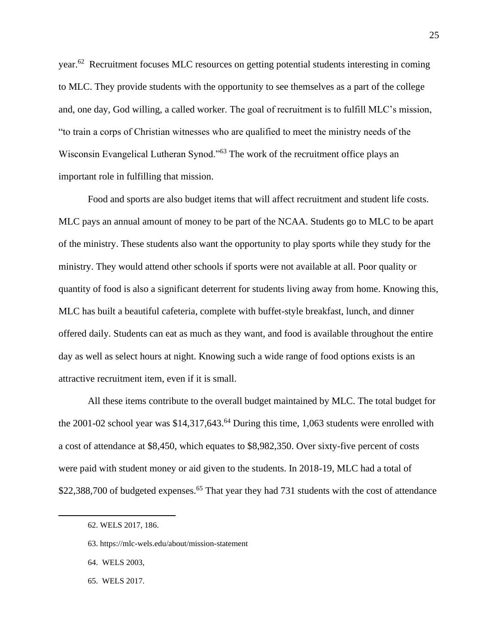year.<sup>62</sup> Recruitment focuses MLC resources on getting potential students interesting in coming to MLC. They provide students with the opportunity to see themselves as a part of the college and, one day, God willing, a called worker. The goal of recruitment is to fulfill MLC's mission, "to train a corps of Christian witnesses who are qualified to meet the ministry needs of the Wisconsin Evangelical Lutheran Synod."<sup>63</sup> The work of the recruitment office plays an important role in fulfilling that mission.

Food and sports are also budget items that will affect recruitment and student life costs. MLC pays an annual amount of money to be part of the NCAA. Students go to MLC to be apart of the ministry. These students also want the opportunity to play sports while they study for the ministry. They would attend other schools if sports were not available at all. Poor quality or quantity of food is also a significant deterrent for students living away from home. Knowing this, MLC has built a beautiful cafeteria, complete with buffet-style breakfast, lunch, and dinner offered daily. Students can eat as much as they want, and food is available throughout the entire day as well as select hours at night. Knowing such a wide range of food options exists is an attractive recruitment item, even if it is small.

All these items contribute to the overall budget maintained by MLC. The total budget for the 2001-02 school year was  $$14,317,643$ .<sup>64</sup> During this time, 1,063 students were enrolled with a cost of attendance at \$8,450, which equates to \$8,982,350. Over sixty-five percent of costs were paid with student money or aid given to the students. In 2018-19, MLC had a total of \$22,388,700 of budgeted expenses.<sup>65</sup> That year they had 731 students with the cost of attendance

<sup>62.</sup> WELS 2017, 186.

<sup>63.</sup> https://mlc-wels.edu/about/mission-statement

<sup>64.</sup> WELS 2003,

<sup>65.</sup> WELS 2017.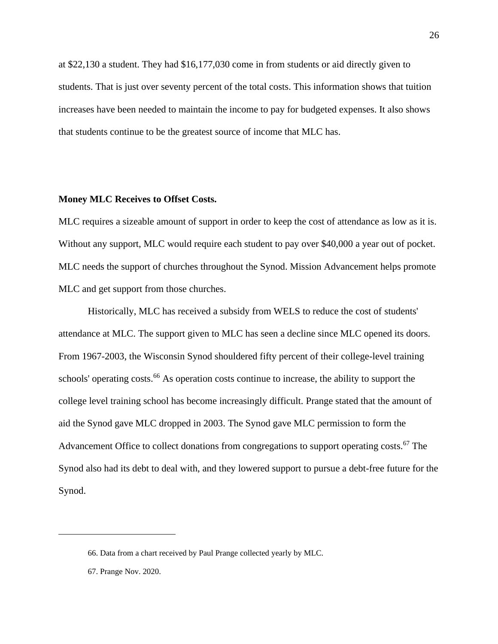at \$22,130 a student. They had \$16,177,030 come in from students or aid directly given to students. That is just over seventy percent of the total costs. This information shows that tuition increases have been needed to maintain the income to pay for budgeted expenses. It also shows that students continue to be the greatest source of income that MLC has.

### **Money MLC Receives to Offset Costs.**

MLC requires a sizeable amount of support in order to keep the cost of attendance as low as it is. Without any support, MLC would require each student to pay over \$40,000 a year out of pocket. MLC needs the support of churches throughout the Synod. Mission Advancement helps promote MLC and get support from those churches.

Historically, MLC has received a subsidy from WELS to reduce the cost of students' attendance at MLC. The support given to MLC has seen a decline since MLC opened its doors. From 1967-2003, the Wisconsin Synod shouldered fifty percent of their college-level training schools' operating costs.<sup>66</sup> As operation costs continue to increase, the ability to support the college level training school has become increasingly difficult. Prange stated that the amount of aid the Synod gave MLC dropped in 2003. The Synod gave MLC permission to form the Advancement Office to collect donations from congregations to support operating costs.<sup>67</sup> The Synod also had its debt to deal with, and they lowered support to pursue a debt-free future for the Synod.

<sup>66.</sup> Data from a chart received by Paul Prange collected yearly by MLC.

<sup>67.</sup> Prange Nov. 2020.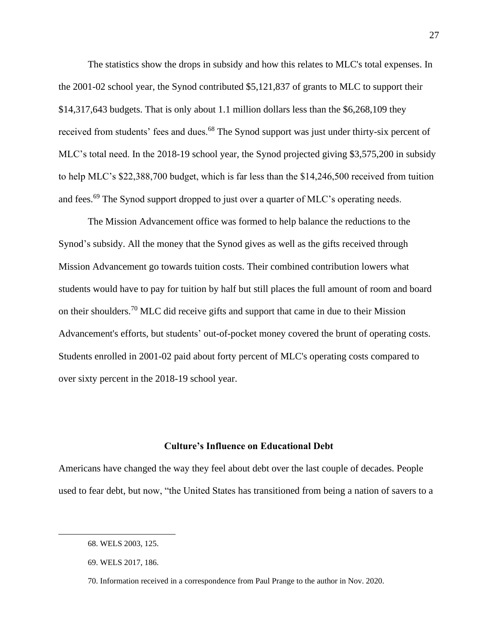The statistics show the drops in subsidy and how this relates to MLC's total expenses. In the 2001-02 school year, the Synod contributed \$5,121,837 of grants to MLC to support their \$14,317,643 budgets. That is only about 1.1 million dollars less than the \$6,268,109 they received from students' fees and dues.<sup>68</sup> The Synod support was just under thirty-six percent of MLC's total need. In the 2018-19 school year, the Synod projected giving \$3,575,200 in subsidy to help MLC's \$22,388,700 budget, which is far less than the \$14,246,500 received from tuition and fees.<sup>69</sup> The Synod support dropped to just over a quarter of MLC's operating needs.

The Mission Advancement office was formed to help balance the reductions to the Synod's subsidy. All the money that the Synod gives as well as the gifts received through Mission Advancement go towards tuition costs. Their combined contribution lowers what students would have to pay for tuition by half but still places the full amount of room and board on their shoulders.<sup>70</sup> MLC did receive gifts and support that came in due to their Mission Advancement's efforts, but students' out-of-pocket money covered the brunt of operating costs. Students enrolled in 2001-02 paid about forty percent of MLC's operating costs compared to over sixty percent in the 2018-19 school year.

#### **Culture's Influence on Educational Debt**

Americans have changed the way they feel about debt over the last couple of decades. People used to fear debt, but now, "the United States has transitioned from being a nation of savers to a

<sup>68.</sup> WELS 2003, 125.

<sup>69.</sup> WELS 2017, 186.

<sup>70.</sup> Information received in a correspondence from Paul Prange to the author in Nov. 2020.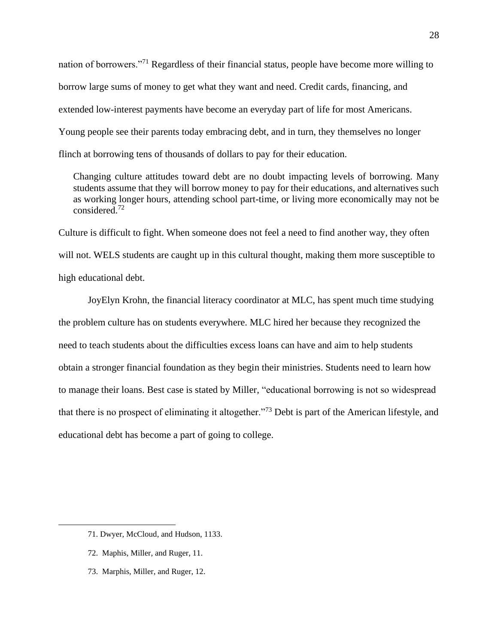nation of borrowers."<sup>71</sup> Regardless of their financial status, people have become more willing to borrow large sums of money to get what they want and need. Credit cards, financing, and extended low-interest payments have become an everyday part of life for most Americans. Young people see their parents today embracing debt, and in turn, they themselves no longer flinch at borrowing tens of thousands of dollars to pay for their education.

Changing culture attitudes toward debt are no doubt impacting levels of borrowing. Many students assume that they will borrow money to pay for their educations, and alternatives such as working longer hours, attending school part-time, or living more economically may not be considered.<sup>72</sup>

Culture is difficult to fight. When someone does not feel a need to find another way, they often will not. WELS students are caught up in this cultural thought, making them more susceptible to high educational debt.

JoyElyn Krohn, the financial literacy coordinator at MLC, has spent much time studying the problem culture has on students everywhere. MLC hired her because they recognized the need to teach students about the difficulties excess loans can have and aim to help students obtain a stronger financial foundation as they begin their ministries. Students need to learn how to manage their loans. Best case is stated by Miller, "educational borrowing is not so widespread that there is no prospect of eliminating it altogether."<sup>73</sup> Debt is part of the American lifestyle, and educational debt has become a part of going to college.

- 72. Maphis, Miller, and Ruger, 11.
- 73. Marphis, Miller, and Ruger, 12.

<sup>71.</sup> Dwyer, McCloud, and Hudson, 1133.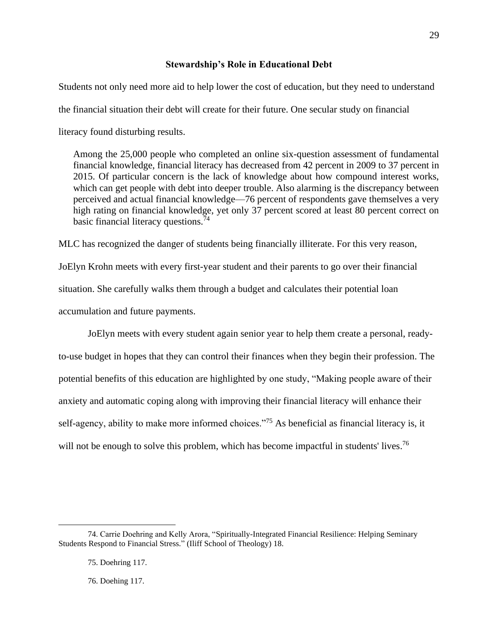#### **Stewardship's Role in Educational Debt**

Students not only need more aid to help lower the cost of education, but they need to understand the financial situation their debt will create for their future. One secular study on financial literacy found disturbing results.

Among the 25,000 people who completed an online six-question assessment of fundamental financial knowledge, financial literacy has decreased from 42 percent in 2009 to 37 percent in 2015. Of particular concern is the lack of knowledge about how compound interest works, which can get people with debt into deeper trouble. Also alarming is the discrepancy between perceived and actual financial knowledge—76 percent of respondents gave themselves a very high rating on financial knowledge, yet only 37 percent scored at least 80 percent correct on basic financial literacy questions. $74$ 

MLC has recognized the danger of students being financially illiterate. For this very reason,

JoElyn Krohn meets with every first-year student and their parents to go over their financial situation. She carefully walks them through a budget and calculates their potential loan accumulation and future payments.

JoElyn meets with every student again senior year to help them create a personal, readyto-use budget in hopes that they can control their finances when they begin their profession. The potential benefits of this education are highlighted by one study, "Making people aware of their anxiety and automatic coping along with improving their financial literacy will enhance their self-agency, ability to make more informed choices.<sup>775</sup> As beneficial as financial literacy is, it will not be enough to solve this problem, which has become impactful in students' lives.<sup>76</sup>

<sup>74.</sup> Carrie Doehring and Kelly Arora, "Spiritually-Integrated Financial Resilience: Helping Seminary Students Respond to Financial Stress." (Iliff School of Theology) 18.

<sup>75.</sup> Doehring 117.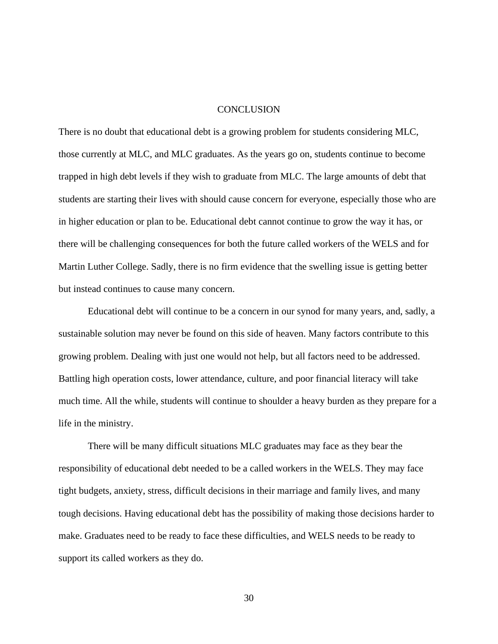#### CONCLUSION

There is no doubt that educational debt is a growing problem for students considering MLC, those currently at MLC, and MLC graduates. As the years go on, students continue to become trapped in high debt levels if they wish to graduate from MLC. The large amounts of debt that students are starting their lives with should cause concern for everyone, especially those who are in higher education or plan to be. Educational debt cannot continue to grow the way it has, or there will be challenging consequences for both the future called workers of the WELS and for Martin Luther College. Sadly, there is no firm evidence that the swelling issue is getting better but instead continues to cause many concern.

Educational debt will continue to be a concern in our synod for many years, and, sadly, a sustainable solution may never be found on this side of heaven. Many factors contribute to this growing problem. Dealing with just one would not help, but all factors need to be addressed. Battling high operation costs, lower attendance, culture, and poor financial literacy will take much time. All the while, students will continue to shoulder a heavy burden as they prepare for a life in the ministry.

There will be many difficult situations MLC graduates may face as they bear the responsibility of educational debt needed to be a called workers in the WELS. They may face tight budgets, anxiety, stress, difficult decisions in their marriage and family lives, and many tough decisions. Having educational debt has the possibility of making those decisions harder to make. Graduates need to be ready to face these difficulties, and WELS needs to be ready to support its called workers as they do.

30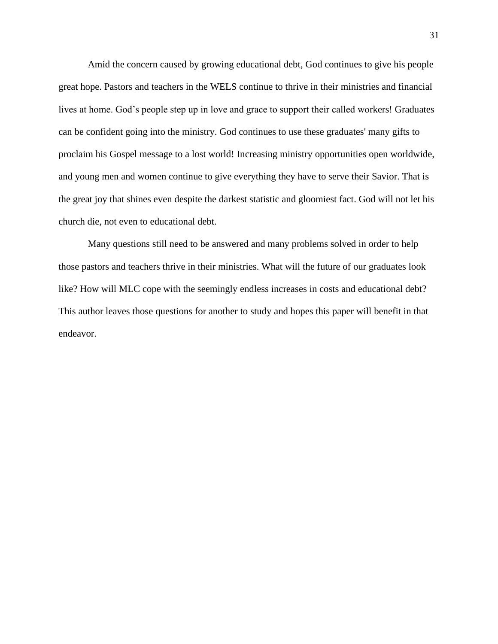Amid the concern caused by growing educational debt, God continues to give his people great hope. Pastors and teachers in the WELS continue to thrive in their ministries and financial lives at home. God's people step up in love and grace to support their called workers! Graduates can be confident going into the ministry. God continues to use these graduates' many gifts to proclaim his Gospel message to a lost world! Increasing ministry opportunities open worldwide, and young men and women continue to give everything they have to serve their Savior. That is the great joy that shines even despite the darkest statistic and gloomiest fact. God will not let his church die, not even to educational debt.

Many questions still need to be answered and many problems solved in order to help those pastors and teachers thrive in their ministries. What will the future of our graduates look like? How will MLC cope with the seemingly endless increases in costs and educational debt? This author leaves those questions for another to study and hopes this paper will benefit in that endeavor.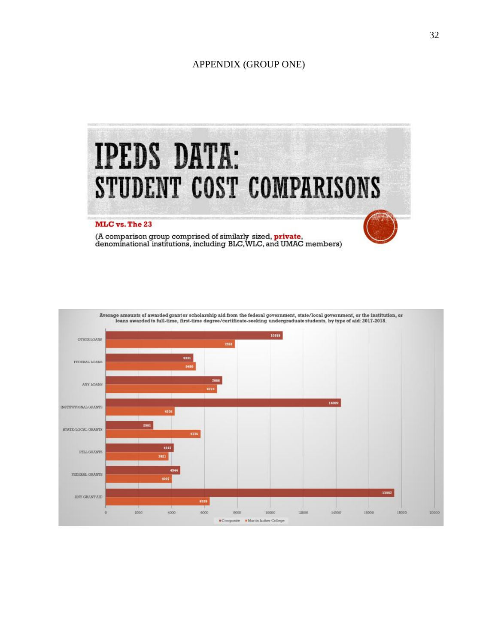## APPENDIX (GROUP ONE)



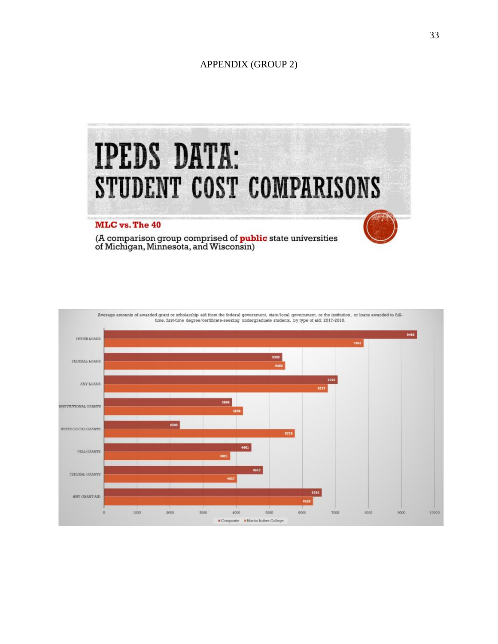# APPENDIX (GROUP 2)



(A comparison group comprised of **public** state universities<br>of Michigan, Minnesota, and Wisconsin)

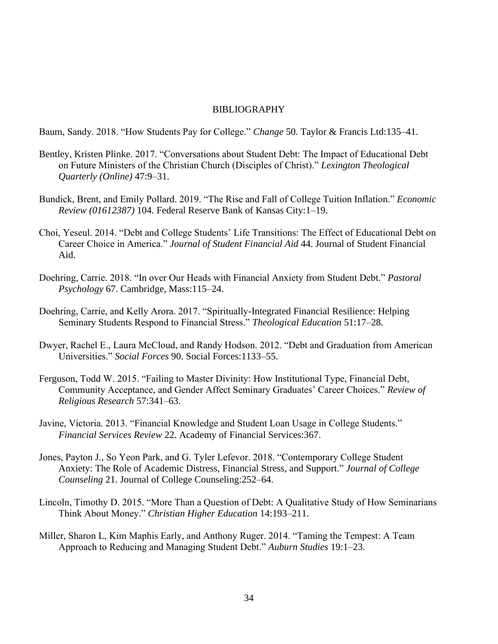# BIBLIOGRAPHY

Baum, Sandy. 2018. "How Students Pay for College." *Change* 50. Taylor & Francis Ltd:135–41.

- Bentley, Kristen Plinke. 2017. "Conversations about Student Debt: The Impact of Educational Debt on Future Ministers of the Christian Church (Disciples of Christ)." *Lexington Theological Quarterly (Online)* 47:9–31.
- Bundick, Brent, and Emily Pollard. 2019. "The Rise and Fall of College Tuition Inflation." *Economic Review (01612387)* 104. Federal Reserve Bank of Kansas City:1–19.
- Choi, Yeseul. 2014. "Debt and College Students' Life Transitions: The Effect of Educational Debt on Career Choice in America." *Journal of Student Financial Aid* 44. Journal of Student Financial Aid.
- Doehring, Carrie. 2018. "In over Our Heads with Financial Anxiety from Student Debt." *Pastoral Psychology* 67. Cambridge, Mass:115–24.
- Doehring, Carrie, and Kelly Arora. 2017. "Spiritually-Integrated Financial Resilience: Helping Seminary Students Respond to Financial Stress." *Theological Education* 51:17–28.
- Dwyer, Rachel E., Laura McCloud, and Randy Hodson. 2012. "Debt and Graduation from American Universities." *Social Forces* 90. Social Forces:1133–55.
- Ferguson, Todd W. 2015. "Failing to Master Divinity: How Institutional Type, Financial Debt, Community Acceptance, and Gender Affect Seminary Graduates' Career Choices." *Review of Religious Research* 57:341–63.
- Javine, Victoria. 2013. "Financial Knowledge and Student Loan Usage in College Students." *Financial Services Review* 22. Academy of Financial Services:367.
- Jones, Payton J., So Yeon Park, and G. Tyler Lefevor. 2018. "Contemporary College Student Anxiety: The Role of Academic Distress, Financial Stress, and Support." *Journal of College Counseling* 21. Journal of College Counseling:252–64.
- Lincoln, Timothy D. 2015. "More Than a Question of Debt: A Qualitative Study of How Seminarians Think About Money." *Christian Higher Education* 14:193–211.
- Miller, Sharon L, Kim Maphis Early, and Anthony Ruger. 2014. "Taming the Tempest: A Team Approach to Reducing and Managing Student Debt." *Auburn Studies* 19:1–23.